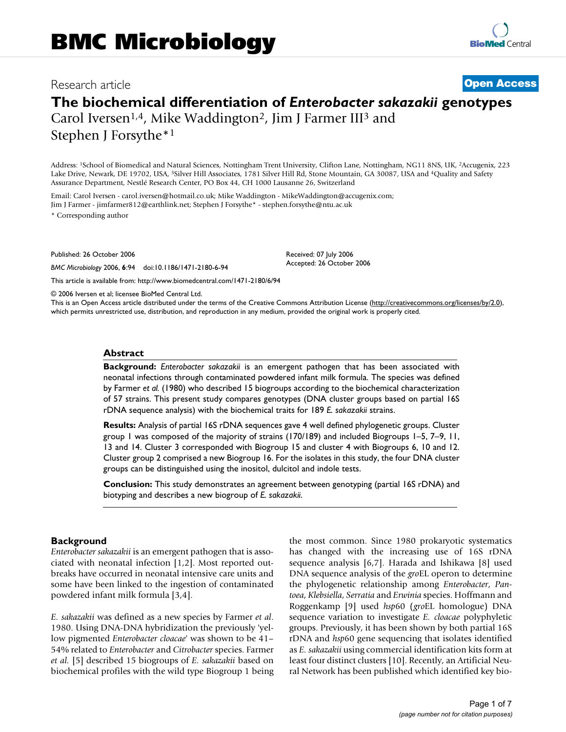## Research article **[Open Access](http://www.biomedcentral.com/info/about/charter/)**

# **The biochemical differentiation of** *Enterobacter sakazakii* **genotypes** Carol Iversen<sup>1,4</sup>, Mike Waddington<sup>2</sup>, Jim J Farmer III<sup>3</sup> and

Stephen J Forsythe\*1

Address: 1School of Biomedical and Natural Sciences, Nottingham Trent University, Clifton Lane, Nottingham, NG11 8NS, UK, 2Accugenix, 223 Lake Drive, Newark, DE 19702, USA, 3Silver Hill Associates, 1781 Silver Hill Rd, Stone Mountain, GA 30087, USA and 4Quality and Safety Assurance Department, Nestlé Research Center, PO Box 44, CH 1000 Lausanne 26, Switzerland

Email: Carol Iversen - carol.iversen@hotmail.co.uk; Mike Waddington - MikeWaddington@accugenix.com; Jim J Farmer - jimfarmer812@earthlink.net; Stephen J Forsythe\* - stephen.forsythe@ntu.ac.uk

\* Corresponding author

Published: 26 October 2006

*BMC Microbiology* 2006, **6**:94 doi:10.1186/1471-2180-6-94

[This article is available from: http://www.biomedcentral.com/1471-2180/6/94](http://www.biomedcentral.com/1471-2180/6/94)

© 2006 Iversen et al; licensee BioMed Central Ltd.

This is an Open Access article distributed under the terms of the Creative Commons Attribution License [\(http://creativecommons.org/licenses/by/2.0\)](http://creativecommons.org/licenses/by/2.0), which permits unrestricted use, distribution, and reproduction in any medium, provided the original work is properly cited.

Received: 07 July 2006 Accepted: 26 October 2006

#### **Abstract**

**Background:** *Enterobacter sakazakii* is an emergent pathogen that has been associated with neonatal infections through contaminated powdered infant milk formula. The species was defined by Farmer *et al.* (1980) who described 15 biogroups according to the biochemical characterization of 57 strains. This present study compares genotypes (DNA cluster groups based on partial 16S rDNA sequence analysis) with the biochemical traits for 189 *E. sakazakii* strains.

**Results:** Analysis of partial 16S rDNA sequences gave 4 well defined phylogenetic groups. Cluster group 1 was composed of the majority of strains (170/189) and included Biogroups 1–5, 7–9, 11, 13 and 14. Cluster 3 corresponded with Biogroup 15 and cluster 4 with Biogroups 6, 10 and 12. Cluster group 2 comprised a new Biogroup 16. For the isolates in this study, the four DNA cluster groups can be distinguished using the inositol, dulcitol and indole tests.

**Conclusion:** This study demonstrates an agreement between genotyping (partial 16S rDNA) and biotyping and describes a new biogroup of *E. sakazakii*.

#### **Background**

*Enterobacter sakazakii* is an emergent pathogen that is associated with neonatal infection [1,2]. Most reported outbreaks have occurred in neonatal intensive care units and some have been linked to the ingestion of contaminated powdered infant milk formula [3,4].

*E. sakazakii* was defined as a new species by Farmer *et al*. 1980. Using DNA-DNA hybridization the previously 'yellow pigmented *Enterobacter cloacae*' was shown to be 41– 54% related to *Enterobacter* and *Citrobacter* species. Farmer *et al.* [5] described 15 biogroups of *E. sakazakii* based on biochemical profiles with the wild type Biogroup 1 being the most common. Since 1980 prokaryotic systematics has changed with the increasing use of 16S rDNA sequence analysis [6,7]. Harada and Ishikawa [\[8\]](#page-6-0) used DNA sequence analysis of the *gro*EL operon to determine the phylogenetic relationship among *Enterobacter*, *Pantoea*, *Klebsiella*, *Serratia* and *Erwinia* species. Hoffmann and Roggenkamp [9] used *hsp*60 (*gro*EL homologue) DNA sequence variation to investigate *E. cloacae* polyphyletic groups. Previously, it has been shown by both partial 16S rDNA and *hsp*60 gene sequencing that isolates identified as *E. sakazakii* using commercial identification kits form at least four distinct clusters [10]. Recently, an Artificial Neural Network has been published which identified key bio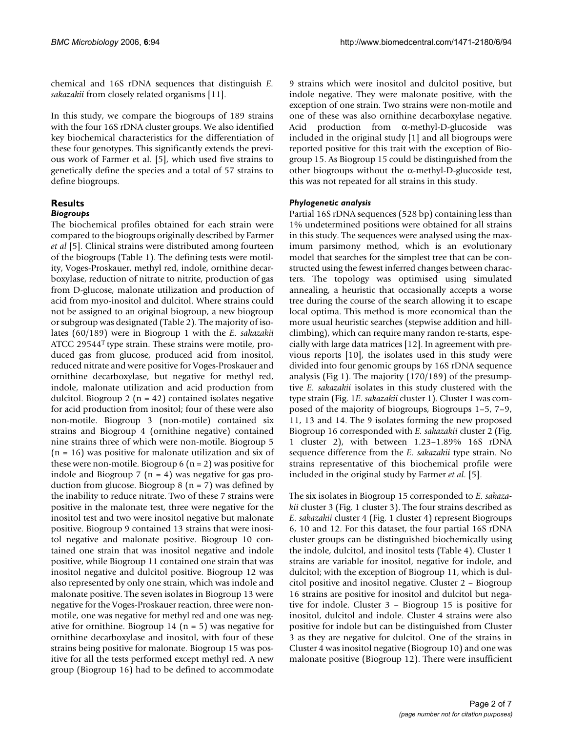chemical and 16S rDNA sequences that distinguish *E. sakazakii* from closely related organisms [11].

In this study, we compare the biogroups of 189 strains with the four 16S rDNA cluster groups. We also identified key biochemical characteristics for the differentiation of these four genotypes. This significantly extends the previous work of Farmer et al. [5], which used five strains to genetically define the species and a total of 57 strains to define biogroups.

### **Results**

#### *Biogroups*

The biochemical profiles obtained for each strain were compared to the biogroups originally described by Farmer *et al* [5]. Clinical strains were distributed among fourteen of the biogroups (Table 1). The defining tests were motility, Voges-Proskauer, methyl red, indole, ornithine decarboxylase, reduction of nitrate to nitrite, production of gas from D-glucose, malonate utilization and production of acid from myo-inositol and dulcitol. Where strains could not be assigned to an original biogroup, a new biogroup or subgroup was designated (Table 2). The majority of isolates (60/189) were in Biogroup 1 with the *E. sakazakii* ATCC 29544T type strain. These strains were motile, produced gas from glucose, produced acid from inositol, reduced nitrate and were positive for Voges-Proskauer and ornithine decarboxylase, but negative for methyl red, indole, malonate utilization and acid production from dulcitol. Biogroup 2 ( $n = 42$ ) contained isolates negative for acid production from inositol; four of these were also non-motile. Biogroup 3 (non-motile) contained six strains and Biogroup 4 (ornithine negative) contained nine strains three of which were non-motile. Biogroup 5  $(n = 16)$  was positive for malonate utilization and six of these were non-motile. Biogroup  $6$  (n = 2) was positive for indole and Biogroup 7 ( $n = 4$ ) was negative for gas production from glucose. Biogroup 8 ( $n = 7$ ) was defined by the inability to reduce nitrate. Two of these 7 strains were positive in the malonate test, three were negative for the inositol test and two were inositol negative but malonate positive. Biogroup 9 contained 13 strains that were inositol negative and malonate positive. Biogroup 10 contained one strain that was inositol negative and indole positive, while Biogroup 11 contained one strain that was inositol negative and dulcitol positive. Biogroup 12 was also represented by only one strain, which was indole and malonate positive. The seven isolates in Biogroup 13 were negative for the Voges-Proskauer reaction, three were nonmotile, one was negative for methyl red and one was negative for ornithine. Biogroup 14 ( $n = 5$ ) was negative for ornithine decarboxylase and inositol, with four of these strains being positive for malonate. Biogroup 15 was positive for all the tests performed except methyl red. A new group (Biogroup 16) had to be defined to accommodate

9 strains which were inositol and dulcitol positive, but indole negative. They were malonate positive, with the exception of one strain. Two strains were non-motile and one of these was also ornithine decarboxylase negative. Acid production from α-methyl-D-glucoside was included in the original study [1] and all biogroups were reported positive for this trait with the exception of Biogroup 15. As Biogroup 15 could be distinguished from the other biogroups without the α-methyl-D-glucoside test, this was not repeated for all strains in this study.

#### *Phylogenetic analysis*

Partial 16S rDNA sequences (528 bp) containing less than 1% undetermined positions were obtained for all strains in this study. The sequences were analysed using the maximum parsimony method, which is an evolutionary model that searches for the simplest tree that can be constructed using the fewest inferred changes between characters. The topology was optimised using simulated annealing, a heuristic that occasionally accepts a worse tree during the course of the search allowing it to escape local optima. This method is more economical than the more usual heuristic searches (stepwise addition and hillclimbing), which can require many randon re-starts, especially with large data matrices [12]. In agreement with previous reports [10], the isolates used in this study were divided into four genomic groups by 16S rDNA sequence analysis (Fig 1). The majority (170/189) of the presumptive *E. sakazakii* isolates in this study clustered with the type strain (Fig. 1*E. sakazakii* cluster 1). Cluster 1 was composed of the majority of biogroups, Biogroups 1–5, 7–9, 11, 13 and 14. The 9 isolates forming the new proposed Biogroup 16 corresponded with *E. sakazakii* cluster 2 (Fig. 1 cluster 2), with between 1.23–1.89% 16S rDNA sequence difference from the *E. sakazakii* type strain. No strains representative of this biochemical profile were included in the original study by Farmer *et al*. [5].

The six isolates in Biogroup 15 corresponded to *E. sakazakii* cluster 3 (Fig. 1 cluster 3). The four strains described as *E. sakazakii* cluster 4 (Fig. 1 cluster 4) represent Biogroups 6, 10 and 12. For this dataset, the four partial 16S rDNA cluster groups can be distinguished biochemically using the indole, dulcitol, and inositol tests (Table 4). Cluster 1 strains are variable for inositol, negative for indole, and dulcitol; with the exception of Biogroup 11, which is dulcitol positive and inositol negative. Cluster 2 – Biogroup 16 strains are positive for inositol and dulcitol but negative for indole. Cluster 3 – Biogroup 15 is positive for inositol, dulcitol and indole. Cluster 4 strains were also positive for indole but can be distinguished from Cluster 3 as they are negative for dulcitol. One of the strains in Cluster 4 was inositol negative (Biogroup 10) and one was malonate positive (Biogroup 12). There were insufficient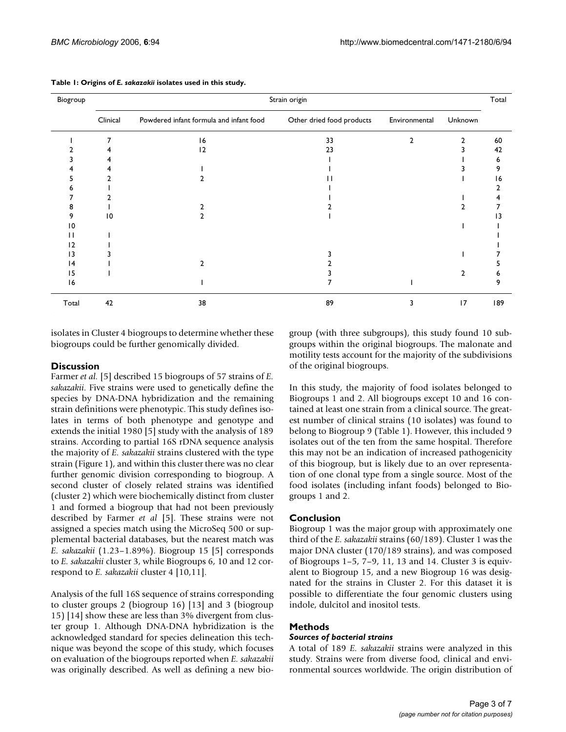| Biogroup |                 |                                         | Strain origin             |                |         | Total |
|----------|-----------------|-----------------------------------------|---------------------------|----------------|---------|-------|
|          | Clinical        | Powdered infant formula and infant food | Other dried food products | Environmental  | Unknown |       |
|          |                 | 16                                      | 33                        | $\overline{2}$ | 2       | 60    |
|          |                 | 12                                      | 23                        |                |         | 42    |
|          |                 |                                         |                           |                |         | 6     |
|          |                 |                                         |                           |                |         | 9     |
|          |                 |                                         |                           |                |         | 16    |
|          |                 |                                         |                           |                |         |       |
|          |                 |                                         |                           |                |         |       |
| 8        |                 |                                         |                           |                |         |       |
| 9        | $\overline{10}$ |                                         |                           |                |         | 3     |
| 10       |                 |                                         |                           |                |         |       |
| l l      |                 |                                         |                           |                |         |       |
| 12       |                 |                                         |                           |                |         |       |
| 13       |                 |                                         |                           |                |         |       |
| 14       |                 | າ                                       |                           |                |         |       |
| 15       |                 |                                         |                           |                | 2       | h     |
| 16       |                 |                                         |                           |                |         |       |
| Total    | 42              | 38                                      | 89                        | 3              | 17      | 189   |

**Table 1: Origins of** *E. sakazakii* **isolates used in this study.**

isolates in Cluster 4 biogroups to determine whether these biogroups could be further genomically divided.

#### **Discussion**

Farmer *et al.* [5] described 15 biogroups of 57 strains of *E. sakazakii*. Five strains were used to genetically define the species by DNA-DNA hybridization and the remaining strain definitions were phenotypic. This study defines isolates in terms of both phenotype and genotype and extends the initial 1980 [5] study with the analysis of 189 strains. According to partial 16S rDNA sequence analysis the majority of *E. sakazakii* strains clustered with the type strain (Figure 1), and within this cluster there was no clear further genomic division corresponding to biogroup. A second cluster of closely related strains was identified (cluster 2) which were biochemically distinct from cluster 1 and formed a biogroup that had not been previously described by Farmer *et al* [5]. These strains were not assigned a species match using the MicroSeq 500 or supplemental bacterial databases, but the nearest match was *E. sakazakii* (1.23–1.89%). Biogroup 15 [5] corresponds to *E. sakazakii* cluster 3, while Biogroups 6, 10 and 12 correspond to *E. sakazakii* cluster 4 [10,11].

Analysis of the full 16S sequence of strains corresponding to cluster groups 2 (biogroup 16) [13] and 3 (biogroup 15) [14] show these are less than 3% divergent from cluster group 1. Although DNA-DNA hybridization is the acknowledged standard for species delineation this technique was beyond the scope of this study, which focuses on evaluation of the biogroups reported when *E. sakazakii* was originally described. As well as defining a new biogroup (with three subgroups), this study found 10 subgroups within the original biogroups. The malonate and motility tests account for the majority of the subdivisions of the original biogroups.

In this study, the majority of food isolates belonged to Biogroups 1 and 2. All biogroups except 10 and 16 contained at least one strain from a clinical source. The greatest number of clinical strains (10 isolates) was found to belong to Biogroup 9 (Table 1). However, this included 9 isolates out of the ten from the same hospital. Therefore this may not be an indication of increased pathogenicity of this biogroup, but is likely due to an over representation of one clonal type from a single source. Most of the food isolates (including infant foods) belonged to Biogroups 1 and 2.

#### **Conclusion**

Biogroup 1 was the major group with approximately one third of the *E. sakazakii* strains (60/189). Cluster 1 was the major DNA cluster (170/189 strains), and was composed of Biogroups 1–5, 7–9, 11, 13 and 14. Cluster 3 is equivalent to Biogroup 15, and a new Biogroup 16 was designated for the strains in Cluster 2. For this dataset it is possible to differentiate the four genomic clusters using indole, dulcitol and inositol tests.

#### **Methods**

#### *Sources of bacterial strains*

A total of 189 *E. sakazakii* strains were analyzed in this study. Strains were from diverse food, clinical and environmental sources worldwide. The origin distribution of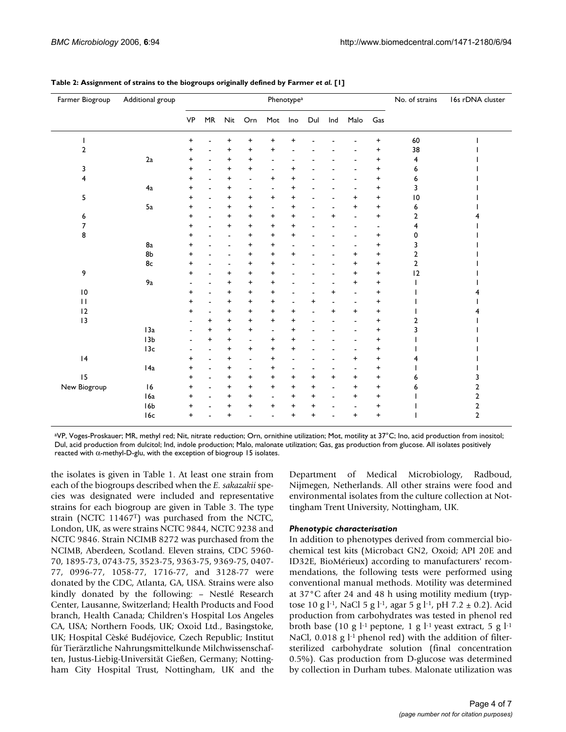| Farmer Biogroup | Additional group |           |                                  |                |                                  |                          | Phenotype <sup>a</sup>           |                |                          |                                  |                | No. of strains | 16s rDNA cluster        |
|-----------------|------------------|-----------|----------------------------------|----------------|----------------------------------|--------------------------|----------------------------------|----------------|--------------------------|----------------------------------|----------------|----------------|-------------------------|
|                 |                  | <b>VP</b> | $\ensuremath{\mathsf{MR}}$       | Nit            | Orn                              | Mot                      | Ino                              | Dul            | Ind                      | Malo                             | Gas            |                |                         |
| I               |                  | $\ddot{}$ |                                  | +              | +                                | +                        | +                                |                |                          |                                  | +              | 60             |                         |
| $\overline{2}$  |                  | +         |                                  | +              | +                                | +                        |                                  |                |                          |                                  | +              | 38             |                         |
|                 | 2a               | +         | $\overline{\phantom{0}}$         | $\ddot{}$      | $\ddot{}$                        | $\overline{\phantom{0}}$ |                                  |                |                          |                                  | +              | 4              |                         |
| 3               |                  | +         | $\blacksquare$                   | $\ddot{}$      | $\begin{array}{c} + \end{array}$ | $\blacksquare$           | +                                |                |                          |                                  | +              | 6              |                         |
| 4               |                  | $\ddot{}$ | $\blacksquare$                   | $\ddot{}$      | $\blacksquare$                   | +                        | $\ddot{}$                        |                |                          |                                  | +              | 6              |                         |
|                 | 4a               | $\ddot{}$ |                                  | $\ddot{}$      | $\overline{\phantom{a}}$         |                          | $\ddot{}$                        |                |                          |                                  | $\ddot{}$      | 3              |                         |
| 5               |                  | $\ddot{}$ |                                  | $\ddot{}$      | $\begin{array}{c} + \end{array}$ | $\ddot{}$                | $\ddot{}$                        |                |                          | $\ddot{}$                        | $\ddot{}$      | $ 0\rangle$    |                         |
|                 | 5a               | +         | $\blacksquare$                   | $\ddot{}$      | $\begin{array}{c} + \end{array}$ | $\blacksquare$           | $\ddot{}$                        |                |                          | $\begin{array}{c} + \end{array}$ | +              | 6              |                         |
| 6               |                  | +         |                                  | $\ddot{}$      | $\ddot{}$                        | +                        | $\ddot{}$                        |                | +                        | ٠                                | +              | 2              |                         |
| 7               |                  | +         | ٠                                | $\ddot{}$      | $\ddot{}$                        | +                        | $\ddot{}$                        |                |                          |                                  | $\blacksquare$ | 4              |                         |
| 8               |                  | +         |                                  | $\blacksquare$ | $\begin{array}{c} + \end{array}$ | +                        | +                                |                |                          | ÷                                | +              | 0              |                         |
|                 | 8a               | +         |                                  | $\blacksquare$ | $\ddot{}$                        | +                        |                                  |                |                          |                                  | $\ddot{}$      | 3              |                         |
|                 | 8b               | +         |                                  | $\blacksquare$ | $\ddot{}$                        | +                        | +                                |                |                          | $\ddot{}$                        | +              | 2              |                         |
|                 | 8c               | +         |                                  |                | +                                | +                        |                                  |                |                          | +                                | +              | $\overline{2}$ |                         |
| 9               |                  | +         |                                  | $\pmb{+}$      | $\ddot{}$                        | +                        |                                  |                |                          | +                                | +              | 12             |                         |
|                 | 9a               |           |                                  | +              | +                                | +                        |                                  |                | $\overline{\phantom{a}}$ | $\ddot{}$                        | +              |                |                         |
| $\overline{10}$ |                  | +         | ۰                                | +              | $\ddot{}$                        | +                        |                                  |                | +                        | $\overline{\phantom{a}}$         | +              |                |                         |
| $\mathbf{H}$    |                  | $\ddot{}$ | $\blacksquare$                   | $\ddot{}$      | $\ddot{}$                        | +                        | ٠                                | $\ddot{}$      | $\blacksquare$           | $\blacksquare$                   | +              |                |                         |
| 12              |                  | +         | $\qquad \qquad \blacksquare$     | $\ddot{}$      | $\ddot{}$                        | +                        | $\ddot{}$                        | $\overline{a}$ | $\ddot{}$                | $\ddot{}$                        | +              |                |                         |
| 13              |                  |           | $\ddot{}$                        | $\ddot{}$      | $\ddot{}$                        | $\ddot{}$                | $\ddot{}$                        |                |                          | ä,                               | +              | 2              |                         |
|                 | 13a              |           | $\ddot{}$                        | $\ddot{}$      | $\begin{array}{c} + \end{array}$ | ۰                        | $\ddot{}$                        |                |                          |                                  | +              | 3              |                         |
|                 | 13 <sub>b</sub>  |           | $\begin{array}{c} + \end{array}$ | $\ddot{}$      | ٠                                | +                        | $\ddot{}$                        |                |                          |                                  | $\ddot{}$      |                |                         |
|                 | 13c              |           | $\overline{\phantom{0}}$         | $\ddot{}$      | $\ddot{}$                        | +                        | $\begin{array}{c} + \end{array}$ |                |                          |                                  | +              |                |                         |
| 4               |                  | +         | ٠                                | $\ddot{}$      | $\blacksquare$                   | +                        | Ĭ.                               |                |                          | $\ddot{}$                        | +              | 4              |                         |
|                 | I 4a             | +         | ٠                                | $\ddot{}$      | $\blacksquare$                   | +                        | ä,                               |                |                          | $\blacksquare$                   | +              |                |                         |
| 15              |                  | +         | $\blacksquare$                   | $\ddot{}$      | $\ddot{}$                        | +                        | $\ddot{}$                        | $\ddot{}$      | +                        | $\ddot{}$                        | +              | 6              | 3                       |
| New Biogroup    | 16               | +         | $\blacksquare$                   | $\ddot{}$      | $\ddot{}$                        | +                        | $\ddot{}$                        | $\ddot{}$      | $\blacksquare$           | $\begin{array}{c} + \end{array}$ | +              | 6              | $\mathbf{2}$            |
|                 | I 6a             | $\ddot{}$ |                                  | $\ddot{}$      | $\ddot{}$                        | $\overline{\phantom{a}}$ | $\ddot{}$                        | $\ddot{}$      |                          | $\ddot{}$                        | +              |                | $\overline{\mathbf{c}}$ |
|                 | 16 <sub>b</sub>  | +         |                                  | $\ddot{}$      | $\ddot{}$                        | +                        | $\ddot{}$                        | $\ddot{}$      |                          |                                  | +              |                | $\overline{a}$          |
|                 | 16c              | $\ddot{}$ |                                  | $\ddot{}$      |                                  |                          | $\ddot{}$                        | $\ddot{}$      |                          | $\ddot{}$                        | $\ddot{}$      |                | $\overline{2}$          |

#### **Table 2: Assignment of strains to the biogroups originally defined by Farmer** *et al.* **[1]**

aVP, Voges-Proskauer; MR, methyl red; Nit, nitrate reduction; Orn, ornithine utilization; Mot, motility at 37°C; Ino, acid production from inositol; Dul, acid production from dulcitol; Ind, indole production; Malo, malonate utilization; Gas, gas production from glucose. All isolates positively reacted with α-methyl-D-glu, with the exception of biogroup 15 isolates.

the isolates is given in Table 1. At least one strain from each of the biogroups described when the *E. sakazakii* species was designated were included and representative strains for each biogroup are given in Table 3. The type strain (NCTC 11467T) was purchased from the NCTC, London, UK, as were strains NCTC 9844, NCTC 9238 and NCTC 9846. Strain NCIMB 8272 was purchased from the NCIMB, Aberdeen, Scotland. Eleven strains, CDC 5960- 70, 1895-73, 0743-75, 3523-75, 9363-75, 9369-75, 0407- 77, 0996-77, 1058-77, 1716-77, and 3128-77 were donated by the CDC, Atlanta, GA, USA. Strains were also kindly donated by the following: – Nestlé Research Center, Lausanne, Switzerland; Health Products and Food branch, Health Canada; Children's Hospital Los Angeles CA, USA; Northern Foods, UK; Oxoid Ltd., Basingstoke, UK; Hospital Cèské Budéjovice, Czech Republic; Institut fûr Tierärztliche Nahrungsmittelkunde Milchwissenschaften, Justus-Liebig-Universität Gießen, Germany; Nottingham City Hospital Trust, Nottingham, UK and the Department of Medical Microbiology, Radboud, Nijmegen, Netherlands. All other strains were food and environmental isolates from the culture collection at Nottingham Trent University, Nottingham, UK.

#### *Phenotypic characterisation*

In addition to phenotypes derived from commercial biochemical test kits (Microbact GN2, Oxoid; API 20E and ID32E, BioMérieux) according to manufacturers' recommendations, the following tests were performed using conventional manual methods. Motility was determined at 37°C after 24 and 48 h using motility medium (tryptose 10 g l<sup>-1</sup>, NaCl 5 g l<sup>-1</sup>, agar 5 g l<sup>-1</sup>, pH 7.2 ± 0.2). Acid production from carbohydrates was tested in phenol red broth base (10 g  $l$ -1 peptone, 1 g  $l$ -1 yeast extract, 5 g  $l$ -1 NaCl,  $0.018$  g  $l<sup>-1</sup>$  phenol red) with the addition of filtersterilized carbohydrate solution (final concentration 0.5%). Gas production from D-glucose was determined by collection in Durham tubes. Malonate utilization was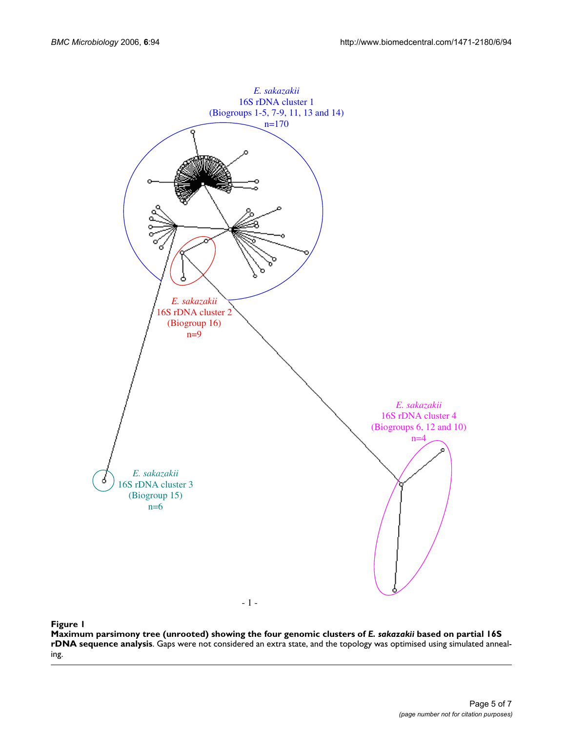

#### analysis **Figure 1** Maximum parsimony tree (unrooted) showing the four genomic clusters of *E. sakazakii* based on partial 16S rDNA sequence

Maximum parsimony tree (unrooted) showing the four genomic clusters of *E. sakazakii* based on partial 16S **rDNA sequence analysis**. Gaps were not considered an extra state, and the topology was optimised using simulated annealing.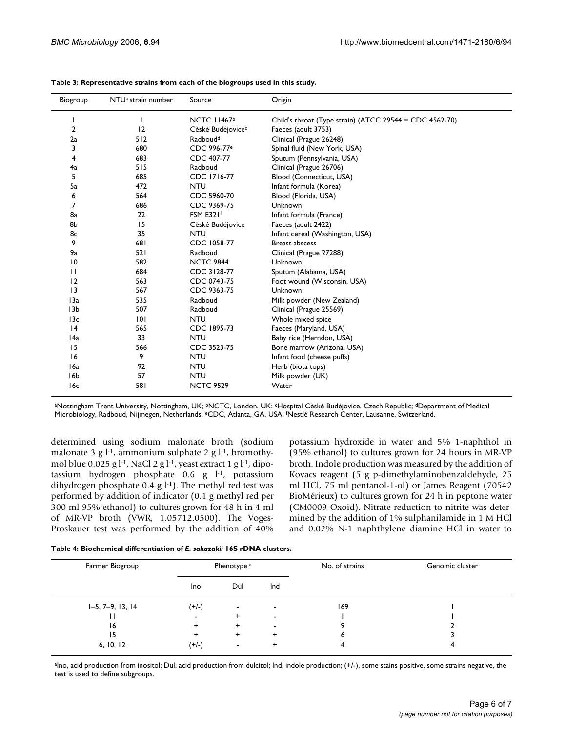| Biogroup         | NTU <sup>a</sup> strain number | Source                        | Origin                                                  |
|------------------|--------------------------------|-------------------------------|---------------------------------------------------------|
|                  | ı                              | NCTC 11467 <sup>b</sup>       | Child's throat (Type strain) (ATCC 29544 = CDC 4562-70) |
| $\overline{2}$   | 12                             | Cèské Budéjovice <sup>c</sup> | Faeces (adult 3753)                                     |
| 2a               | 512                            | Radboud <sup>d</sup>          | Clinical (Prague 26248)                                 |
| 3                | 680                            | CDC 996-77 <sup>e</sup>       | Spinal fluid (New York, USA)                            |
| 4                | 683                            | CDC 407-77                    | Sputum (Pennsylvania, USA)                              |
| 4a               | 515                            | Radboud                       | Clinical (Prague 26706)                                 |
| 5                | 685                            | CDC 1716-77                   | Blood (Connecticut, USA)                                |
| 5a               | 472                            | <b>NTU</b>                    | Infant formula (Korea)                                  |
| 6                | 564                            | CDC 5960-70                   | Blood (Florida, USA)                                    |
| 7                | 686                            | CDC 9369-75                   | Unknown                                                 |
| 8a               | 22                             | FSM E321f                     | Infant formula (France)                                 |
| 8b               | 15                             | Cèské Budéjovice              | Faeces (adult 2422)                                     |
| 8c               | 35                             | <b>NTU</b>                    | Infant cereal (Washington, USA)                         |
| 9                | 681                            | CDC 1058-77                   | <b>Breast abscess</b>                                   |
| 9a               | 521                            | Radboud                       | Clinical (Prague 27288)                                 |
| 10               | 582                            | <b>NCTC 9844</b>              | Unknown                                                 |
| $\mathbf{H}$     | 684                            | CDC 3128-77                   | Sputum (Alabama, USA)                                   |
| 12               | 563                            | CDC 0743-75                   | Foot wound (Wisconsin, USA)                             |
| 3                | 567                            | CDC 9363-75                   | Unknown                                                 |
| 13a              | 535                            | Radboud                       | Milk powder (New Zealand)                               |
| 13 <sub>b</sub>  | 507                            | Radboud                       | Clinical (Prague 25569)                                 |
| 13c              | 0                              | <b>NTU</b>                    | Whole mixed spice                                       |
| 4                | 565                            | CDC 1895-73                   | Faeces (Maryland, USA)                                  |
| 14a              | 33                             | <b>NTU</b>                    | Baby rice (Herndon, USA)                                |
| 15               | 566                            | CDC 3523-75                   | Bone marrow (Arizona, USA)                              |
| 16               | 9                              | <b>NTU</b>                    | Infant food (cheese puffs)                              |
| 16a              | 92                             | <b>NTU</b>                    | Herb (biota tops)                                       |
| I <sub>6</sub> b | 57                             | <b>NTU</b>                    | Milk powder (UK)                                        |
| 16c              | 581                            | <b>NCTC 9529</b>              | Water                                                   |

aNottingham Trent University, Nottingham, UK; <sup>b</sup>NCTC, London, UK; <sup>c</sup>Hospital Cèské Budéjovice, Czech Republic; <sup>d</sup>Department of Medical Microbiology, Radboud, Nijmegen, Netherlands; eCDC, Atlanta, GA, USA; f Nestlé Research Center, Lausanne, Switzerland.

determined using sodium malonate broth (sodium malonate 3 g  $l^{-1}$ , ammonium sulphate 2 g  $l^{-1}$ , bromothymol blue  $0.025$  g l<sup>-1</sup>, NaCl 2 g l<sup>-1</sup>, yeast extract 1 g l<sup>-1</sup>, dipotassium hydrogen phosphate 0.6 g l-1, potassium dihydrogen phosphate 0.4 g  $l^{-1}$ ). The methyl red test was performed by addition of indicator (0.1 g methyl red per 300 ml 95% ethanol) to cultures grown for 48 h in 4 ml of MR-VP broth (VWR, 1.05712.0500). The Voges-Proskauer test was performed by the addition of 40% potassium hydroxide in water and 5% 1-naphthol in (95% ethanol) to cultures grown for 24 hours in MR-VP broth. Indole production was measured by the addition of Kovacs reagent (5 g p-dimethylaminobenzaldehyde, 25 ml HCl, 75 ml pentanol-1-ol) or James Reagent (70542 BioMérieux) to cultures grown for 24 h in peptone water (CM0009 Oxoid). Nitrate reduction to nitrite was determined by the addition of 1% sulphanilamide in 1 M HCl and 0.02% N-1 naphthylene diamine HCl in water to

| Table 4: Biochemical differentiation of E. sakazakii 16S rDNA clusters. |  |  |  |
|-------------------------------------------------------------------------|--|--|--|
|-------------------------------------------------------------------------|--|--|--|

| Farmer Biogroup    | Phenotype <sup>a</sup> |                          |                          | No. of strains | Genomic cluster |  |
|--------------------|------------------------|--------------------------|--------------------------|----------------|-----------------|--|
|                    | Ino                    | Dul                      | Ind                      |                |                 |  |
| $1-5, 7-9, 13, 14$ | $(+/-)$                | $\overline{\phantom{a}}$ | -                        | 169            |                 |  |
|                    | ۰                      | +                        | $\overline{\phantom{a}}$ |                |                 |  |
| 16                 | ٠                      | +                        | -                        |                |                 |  |
| 15                 |                        | +                        |                          |                |                 |  |
| 6, 10, 12          | $(+/-)$                | $\blacksquare$           |                          |                |                 |  |

aIno, acid production from inositol; Dul, acid production from dulcitol; Ind, indole production; (+/-), some stains positive, some strains negative, the test is used to define subgroups.